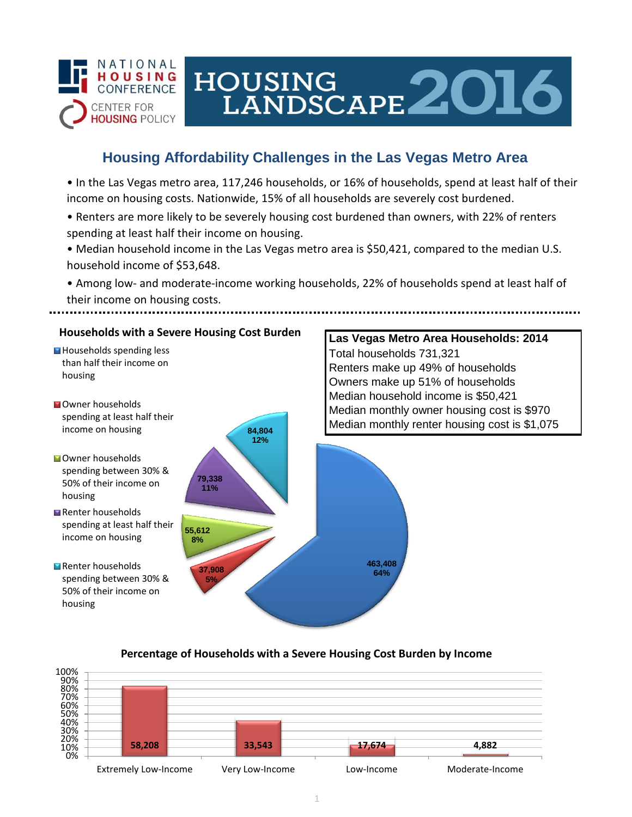

# HOUSING<br>LANDSCAPE 2016

## **Housing Affordability Challenges in the Las Vegas Metro Area**

• In the Las Vegas metro area, 117,246 households, or 16% of households, spend at least half of their income on housing costs. Nationwide, 15% of all households are severely cost burdened.

- Renters are more likely to be severely housing cost burdened than owners, with 22% of renters spending at least half their income on housing.
- Median household income in the Las Vegas metro area is \$50,421, compared to the median U.S. household income of \$53,648.
- Among low- and moderate-income working households, 22% of households spend at least half of their income on housing costs.



### **Percentage of Households with a Severe Housing Cost Burden by Income**